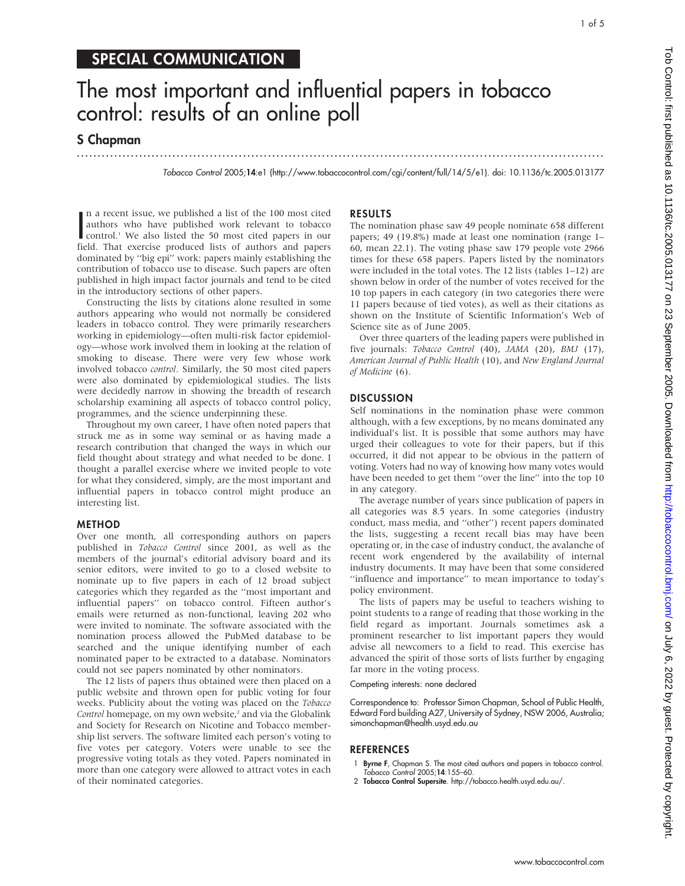## SPECIAL COMMUNICATION

# The most important and influential papers in tobacco control: results of an online poll

...............................................................................................................................

S Chapman

Tobacco Control 2005;14:e1 (http://www.tobaccocontrol.com/cgi/content/full/14/5/e1). doi: 10.1136/tc.2005.013177

In a recent issue, we published a list of the 100 most cited<br>authors who have published work relevant to tobacco<br>control.<sup>1</sup> We also listed the 50 most cited papers in our<br>field. That exercise produced lists of authors and n a recent issue, we published a list of the 100 most cited authors who have published work relevant to tobacco field. That exercise produced lists of authors and papers dominated by ''big epi'' work: papers mainly establishing the contribution of tobacco use to disease. Such papers are often published in high impact factor journals and tend to be cited in the introductory sections of other papers.

Constructing the lists by citations alone resulted in some authors appearing who would not normally be considered leaders in tobacco control. They were primarily researchers working in epidemiology—often multi-risk factor epidemiology—whose work involved them in looking at the relation of smoking to disease. There were very few whose work involved tobacco control. Similarly, the 50 most cited papers were also dominated by epidemiological studies. The lists were decidedly narrow in showing the breadth of research scholarship examining all aspects of tobacco control policy, programmes, and the science underpinning these.

Throughout my own career, I have often noted papers that struck me as in some way seminal or as having made a research contribution that changed the ways in which our field thought about strategy and what needed to be done. I thought a parallel exercise where we invited people to vote for what they considered, simply, are the most important and influential papers in tobacco control might produce an interesting list.

#### METHOD

Over one month, all corresponding authors on papers published in Tobacco Control since 2001, as well as the members of the journal's editorial advisory board and its senior editors, were invited to go to a closed website to nominate up to five papers in each of 12 broad subject categories which they regarded as the ''most important and influential papers'' on tobacco control. Fifteen author's emails were returned as non-functional, leaving 202 who were invited to nominate. The software associated with the nomination process allowed the PubMed database to be searched and the unique identifying number of each nominated paper to be extracted to a database. Nominators could not see papers nominated by other nominators.

The 12 lists of papers thus obtained were then placed on a public website and thrown open for public voting for four weeks. Publicity about the voting was placed on the Tobacco Control homepage, on my own website,<sup>2</sup> and via the Globalink and Society for Research on Nicotine and Tobacco membership list servers. The software limited each person's voting to five votes per category. Voters were unable to see the progressive voting totals as they voted. Papers nominated in more than one category were allowed to attract votes in each of their nominated categories.

### RESULTS

The nomination phase saw 49 people nominate 658 different papers; 49 (19.8%) made at least one nomination (range 1– 60, mean 22.1). The voting phase saw 179 people vote 2966 times for these 658 papers. Papers listed by the nominators were included in the total votes. The 12 lists (tables 1–12) are shown below in order of the number of votes received for the 10 top papers in each category (in two categories there were 11 papers because of tied votes), as well as their citations as shown on the Institute of Scientific Information's Web of Science site as of June 2005.

Over three quarters of the leading papers were published in five journals: Tobacco Control (40), JAMA (20), BMJ (17), American Journal of Public Health (10), and New England Journal of Medicine (6).

#### **DISCUSSION**

Self nominations in the nomination phase were common although, with a few exceptions, by no means dominated any individual's list. It is possible that some authors may have urged their colleagues to vote for their papers, but if this occurred, it did not appear to be obvious in the pattern of voting. Voters had no way of knowing how many votes would have been needed to get them ''over the line'' into the top 10 in any category.

The average number of years since publication of papers in all categories was 8.5 years. In some categories (industry conduct, mass media, and ''other'') recent papers dominated the lists, suggesting a recent recall bias may have been operating or, in the case of industry conduct, the avalanche of recent work engendered by the availability of internal industry documents. It may have been that some considered ''influence and importance'' to mean importance to today's policy environment.

The lists of papers may be useful to teachers wishing to point students to a range of reading that those working in the field regard as important. Journals sometimes ask a prominent researcher to list important papers they would advise all newcomers to a field to read. This exercise has advanced the spirit of those sorts of lists further by engaging far more in the voting process.

#### Competing interests: none declared

Correspondence to: Professor Simon Chapman, School of Public Health, Edward Ford building A27, University of Sydney, NSW 2006, Australia; simonchapman@health.usyd.edu.au

#### **REFERENCES**

- 1 Byrne F, Chapman S. The most cited authors and papers in tobacco control. Tobacco Control 2005;14:155–60.
- 2 Tobacco Control Supersite. http://tobacco.health.usyd.edu.au/.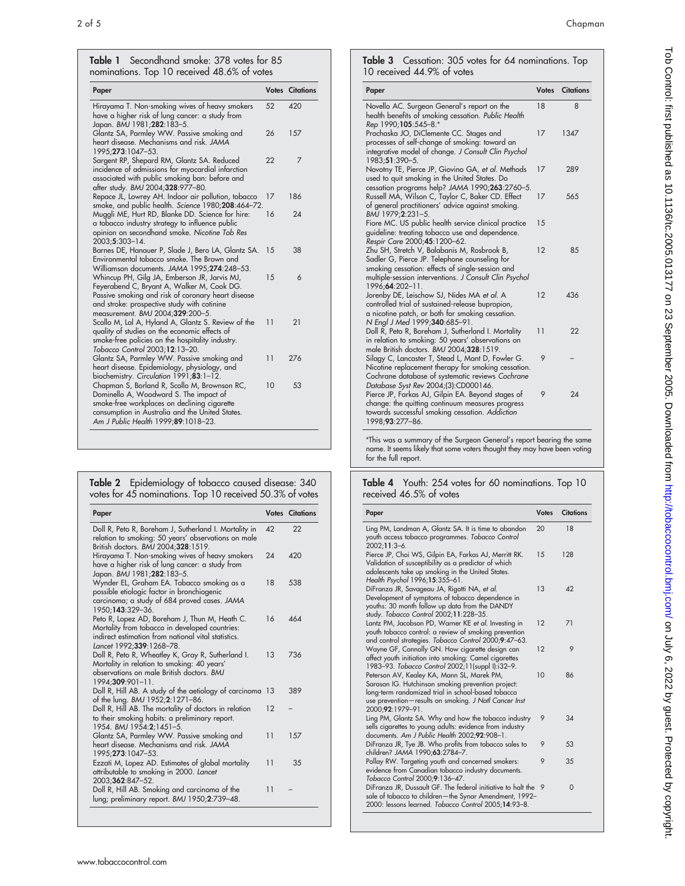Table 1 Secondhand smoke: 378 votes for 85 nominations. Top 10 received 48.6% of votes

| Paper                                                                                                                                                                                                                               |      | <b>Votes Citations</b> |
|-------------------------------------------------------------------------------------------------------------------------------------------------------------------------------------------------------------------------------------|------|------------------------|
| Hirayama T. Non-smoking wives of heavy smokers<br>have a higher risk of lung cancer: a study from<br>Japan. BMJ 1981;282:183-5.                                                                                                     | 52   | 420                    |
| Glantz SA, Parmley WW. Passive smoking and<br>heart disease. Mechanisms and risk. JAMA<br>1995;273:1047-53.                                                                                                                         | 26   | 157                    |
| Sargent RP, Shepard RM, Glantz SA. Reduced<br>incidence of admissions for myocardial infarction<br>associated with public smoking ban: before and<br>after study. BMJ 2004;328:977-80.                                              | 22   | 7                      |
| Repace JL, Lowrey AH. Indoor air pollution, tobacco<br>smoke, and public health. Science 1980;208:464-72.                                                                                                                           | 17   | 186                    |
| Muggli ME, Hurt RD, Blanke DD. Science for hire:<br>a tobacco industry strategy to influence public<br>opinion on secondhand smoke. Nicotine Tob Res<br>2003;5:303-14.                                                              | 16   | 24                     |
| Barnes DE, Hanauer P, Slade J, Bero LA, Glantz SA.<br>Environmental tobacco smoke. The Brown and<br>Williamson documents. JAMA 1995;274:248-53.                                                                                     | - 15 | 38                     |
| Whincup PH, Gilg JA, Emberson JR, Jarvis MJ,<br>Feyerabend C, Bryant A, Walker M, Cook DG.<br>Passive smoking and risk of coronary heart disease<br>and stroke: prospective study with cotinine<br>measurement. BMJ 2004;329:200-5. | 1.5  | 6                      |
| Scollo M, Lal A, Hyland A, Glantz S. Review of the<br>quality of studies on the economic effects of<br>smoke-free policies on the hospitality industry.<br>Tobacco Control 2003;12:13-20.                                           | 11   | 21                     |
| Glantz SA, Parmley WW. Passive smoking and<br>heart disease. Epidemiology, physiology, and<br>biochemistry. Circulation 1991;83:1-12.                                                                                               | 11   | 276                    |
| Chapman S, Borland R, Scollo M, Brownson RC,<br>Dominello A, Woodward S. The impact of<br>smoke-free workplaces on declining cigarette<br>consumption in Australia and the United States.<br>Am J Public Health 1999;89:1018-23.    | 10   | 53                     |

| Table 2 Epidemiology of tobacco caused disease: 340      |
|----------------------------------------------------------|
| votes for 45 nominations. Top 10 received 50.3% of votes |

| Paper                                                                                                                                                                              |          | <b>Votes Citations</b> |
|------------------------------------------------------------------------------------------------------------------------------------------------------------------------------------|----------|------------------------|
| Doll R, Peto R, Boreham J, Sutherland I. Mortality in<br>relation to smoking: 50 years' observations on male<br>British doctors. BMJ 2004;328:1519.                                | $\Delta$ | 22                     |
| Hirayama T. Non-smoking wives of heavy smokers<br>have a higher risk of lung cancer: a study from<br>Japan. BMJ 1981;282:183-5.                                                    | 24       | 420                    |
| Wynder EL, Graham EA. Tobacco smoking as a<br>possible etiologic factor in bronchiogenic<br>carcinoma; a study of 684 proved cases. JAMA<br>1950;143:329-36.                       | 18       | 538                    |
| Peto R, Lopez AD, Boreham J, Thun M, Heath C.<br>Mortality from tobacco in developed countries:<br>indirect estimation from national vital statistics.<br>Lancet 1992;339:1268-78. | 16       | 464                    |
| Doll R, Peto R, Wheatley K, Gray R, Sutherland I.<br>Mortality in relation to smoking: 40 years'<br>observations on male British doctors. BMJ<br>$1994;309:901-11.$                | 13       | 736                    |
| Doll R, Hill AB. A study of the aetiology of carcinoma<br>of the lung. BMJ 1952;2:1271-86.                                                                                         | -13      | 389                    |
| Doll R, Hill AB. The mortality of doctors in relation<br>to their smoking habits: a preliminary report.<br>1954. BMJ 1954:2;1451-5.                                                | 12       |                        |
| Glantz SA, Parmley WW. Passive smoking and<br>heart disease. Mechanisms and risk. JAMA<br>1995;273:1047-53.                                                                        | 11       | 157                    |
| Ezzati M, Lopez AD. Estimates of global mortality<br>attributable to smoking in 2000. Lancet<br>2003;362:847-52.                                                                   | 11       | 35                     |
| Doll R, Hill AB. Smoking and carcinoma of the<br>lung; preliminary report. BMJ 1950;2:739-48.                                                                                      | 11       |                        |

Table 3 Cessation: 305 votes for 64 nominations. Top 10 received 44.9% of votes

| Paper                                                                                                                                                                                                                         |    | <b>Votes</b> Citations |
|-------------------------------------------------------------------------------------------------------------------------------------------------------------------------------------------------------------------------------|----|------------------------|
| Novello AC. Surgeon General's report on the<br>health benefits of smoking cessation. Public Health<br>Rep 1990;105:545-8.*                                                                                                    | 18 | 8                      |
| Prochaska JO, DiClemente CC. Stages and<br>processes of self-change of smoking: toward an<br>integrative model of change. J Consult Clin Psychol<br>1983;51:390-5.                                                            | 17 | 1347                   |
| Novotny TE, Pierce JP, Giovino GA, et al. Methods<br>used to quit smoking in the United States. Do<br>cessation programs help? JAMA 1990;263:2760-5.                                                                          | 17 | 289                    |
| Russell MA, Wilson C, Taylor C, Baker CD. Effect<br>of general practitioners' advice against smoking.<br>BMJ 1979;2:231-5.                                                                                                    | 17 | 565                    |
| Fiore MC. US public health service clinical practice<br>guideline: treating tobacco use and dependence.<br>Respir Care 2000;45:1200-62.                                                                                       | 15 |                        |
| Zhu SH, Stretch V, Balabanis M, Rosbrook B,<br>Sadler G, Pierce JP. Telephone counseling for<br>smoking cessation: effects of single-session and<br>multiple-session interventions. J Consult Clin Psychol<br>1996;64:202-11. | 12 | 85                     |
| Jorenby DE, Leischow SJ, Nides MA et al. A<br>controlled trial of sustained-release bupropion,<br>a nicotine patch, or both for smoking cessation.<br>N Engl J Med 1999;340:685-91.                                           | 12 | 436                    |
| Doll R, Peto R, Boreham J, Sutherland I. Mortality<br>in relation to smoking: 50 years' observations on<br>male British doctors. BMJ 2004;328:1519.                                                                           | 11 | 22                     |
| Silagy C, Lancaster T, Stead L, Mant D, Fowler G.<br>Nicotine replacement therapy for smoking cessation.<br>Cochrane database of systematic reviews Cochrane<br>Database Syst Rev 2004;(3):CD000146.                          | 9  |                        |
| Pierce JP, Farkas AJ, Gilpin EA. Beyond stages of<br>change: the quitting continuum measures progress<br>towards successful smoking cessation. Addiction<br>1998;93:277-86.                                                   | 9  | 24                     |

\*This was a summary of the Surgeon General's report bearing the same name. It seems likely that some voters thought they may have been voting for the full report.

| Table 4 Youth: 254 votes for 60 nominations. Top 10 |  |  |  |
|-----------------------------------------------------|--|--|--|
| received 46.5% of votes                             |  |  |  |

| Paper                                                                                                                                                                                                                               | <b>Votes</b> | <b>Citations</b> |
|-------------------------------------------------------------------------------------------------------------------------------------------------------------------------------------------------------------------------------------|--------------|------------------|
| Ling PM, Landman A, Glantz SA. It is time to abandon<br>youth access tobacco programmes. Tobacco Control<br>$2002; 11:3-6.$                                                                                                         | 20           | 18               |
| Pierce JP, Choi WS, Gilpin EA, Farkas AJ, Merritt RK.<br>Validation of susceptibility as a predictor of which<br>adolescents take up smoking in the United States.<br>Health Psychol 1996;15:355-61.                                | 15           | 128              |
| DiFranza JR, Savageau JA, Rigotti NA, et al.<br>Development of symptoms of tobacco dependence in<br>youths: 30 month follow up data from the DANDY<br>study. Tobacco Control 2002;11:228-35.                                        | 13           | 42               |
| Lantz PM, Jacobson PD, Warner KE et al. Investing in<br>youth tobacco control: a review of smoking prevention<br>and control strategies. Tobacco Control 2000;9:47-63.                                                              | 12           | 71               |
| Wayne GF, Connolly GN. How cigarette design can<br>affect youth initiation into smoking: Camel cigarettes<br>1983-93. Tobacco Control 2002;11(suppl I):i32-9.                                                                       | 12           | 9                |
| Peterson AV, Kealey KA, Mann SL, Marek PM,<br>Sarason IG. Hutchinson smoking prevention project:<br>long-term randomized trial in school-based tobacco<br>use prevention-results on smoking. J Natl Cancer Inst<br>2000;92:1979-91. | 10           | 86               |
| Ling PM, Glantz SA. Why and how the tobacco industry<br>sells cigarettes to young adults: evidence from industry<br>documents. Am J Public Health 2002;92:908-1.                                                                    | 9            | 34               |
| DiFranza JR, Tye JB. Who profits from tobacco sales to<br>children? JAMA 1990;63:2784-7.                                                                                                                                            | 9            | 53               |
| Pollay RW. Targeting youth and concerned smokers:<br>evidence from Canadian tobacco industry documents.<br>Tobacco Control 2000;9:136-47.                                                                                           | 9            | 35               |
| DiFranza JR, Dussault GF. The federal initiative to halt the 9<br>sale of tobacco to children-the Synar Amendment, 1992-<br>2000: lessons learned. Tobacco Control 2005;14:93-8.                                                    |              | $\Omega$         |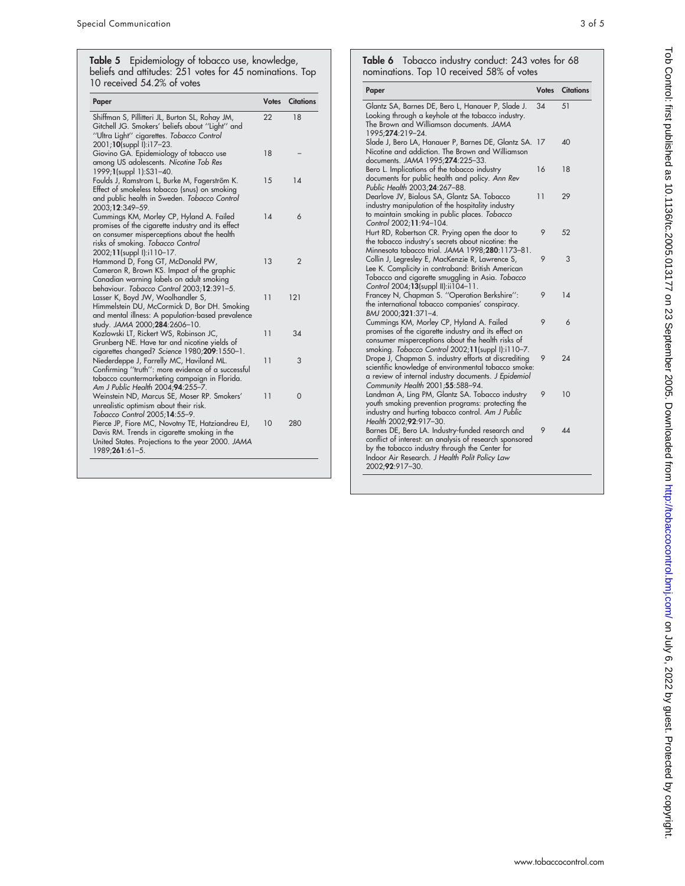**Table 5** Epidemiology of tobacco use, knowledge, beliefs and attitudes: 251 votes for 45 nominations. Top 10 received 54.2% of votes

| Paper                                                                                                                                                                                                          | <b>Votes</b> | <b>Citations</b> |
|----------------------------------------------------------------------------------------------------------------------------------------------------------------------------------------------------------------|--------------|------------------|
| Shiffman S, Pillitteri JL, Burton SL, Rohay JM,<br>Gitchell JG. Smokers' beliefs about "Light" and<br>"Ultra Light" cigarettes. Tobacco Control<br>2001;10(suppl I):i17-23.                                    | 22           | 18               |
| Giovino GA. Epidemiology of tobacco use<br>among US adolescents. Nicotine Tob Res<br>1999;1(suppl 1):S31-40.                                                                                                   | 18           |                  |
| Foulds J, Ramstrom L, Burke M, Fagerstrőm K.<br>Effect of smokeless tobacco (snus) on smoking<br>and public health in Sweden. Tobacco Control<br>2003;12:349-59.                                               | 15           | 14               |
| Cummings KM, Morley CP, Hyland A. Failed<br>promises of the cigarette industry and its effect<br>on consumer misperceptions about the health<br>risks of smoking. Tobacco Control<br>2002;11(suppl I):i110-17. | 14           | 6                |
| Hammond D, Fong GT, McDonald PW,<br>Cameron R, Brown KS. Impact of the graphic<br>Canadian warning labels on adult smoking<br>behaviour. Tobacco Control 2003;12:391-5.                                        | 13           | $\mathfrak{p}$   |
| Lasser K, Boyd JW, Woolhandler S,<br>Himmelstein DU, McCormick D, Bor DH. Smoking<br>and mental illness: A population-based prevalence<br>study. JAMA 2000;284:2606-10.                                        | 11           | 121              |
| Kozlowski LT, Rickert WS, Robinson JC,<br>Grunberg NE. Have tar and nicotine yields of<br>cigarettes changed? Science 1980;209:1550-1.                                                                         | 11           | 34               |
| Niederdeppe J, Farrelly MC, Haviland ML.<br>Confirming "truth": more evidence of a successful<br>tobacco countermarketing campaign in Florida.<br>Am J Public Health 2004:94:255-7.                            | 11           | 3                |
| Weinstein ND, Marcus SE, Moser RP. Smokers'<br>unrealistic optimism about their risk.<br>Tobacco Control 2005;14:55-9.                                                                                         | 11           | 0                |
| Pierce JP, Fiore MC, Novotny TE, Hatziandreu EJ,<br>Davis RM. Trends in cigarette smoking in the<br>United States. Projections to the year 2000. JAMA<br>$1989;261:61-5.$                                      | 10           | 280              |

**Table 6** Tobacco industry conduct: 243 votes for 68 nominations. Top 10 received 58% of votes

| Paper                                                                                                                                                                                                                              | <b>Votes</b> | <b>Citations</b> |
|------------------------------------------------------------------------------------------------------------------------------------------------------------------------------------------------------------------------------------|--------------|------------------|
| Glantz SA, Barnes DE, Bero L, Hanauer P, Slade J.<br>Looking through a keyhole at the tobacco industry.<br>The Brown and Williamson documents. JAMA<br>1995: <b>274</b> :219-24.                                                   | 34           | 51               |
| Slade J, Bero LA, Hanauer P, Barnes DE, Glantz SA. 17<br>Nicotine and addiction. The Brown and Williamson<br>documents. JAMA 1995;274:225-33.                                                                                      |              | 40               |
| Bero L. Implications of the tobacco industry<br>documents for public health and policy. Ann Rev<br>Public Health 2003;24:267-88.                                                                                                   | 16           | 18               |
| Dearlove JV, Bialous SA, Glantz SA. Tobacco<br>industry manipulation of the hospitality industry<br>to maintain smoking in public places. Tobacco<br>Control 2002;11:94-104.                                                       | 11           | 29               |
| Hurt RD, Robertson CR. Prying open the door to<br>the tobacco industry's secrets about nicotine: the<br>Minnesota tobacco trial. JAMA 1998;280:1173-81.                                                                            | 9            | 52               |
| Collin J, Legresley E, MacKenzie R, Lawrence S,<br>Lee K. Complicity in contraband: British American<br>Tobacco and cigarette smuggling in Asia. Tobacco<br>Control 2004;13(suppl II):ii104-11.                                    | 9            | 3                |
| Francey N, Chapman S. "Operation Berkshire":<br>the international tobacco companies' conspiracy.<br>BMJ 2000;321:371-4.                                                                                                            | 9            | 14               |
| Cummings KM, Morley CP, Hyland A. Failed<br>promises of the cigarette industry and its effect on<br>consumer misperceptions about the health risks of<br>smoking. Tobacco Control 2002;11(suppl I):i110-7.                         | 9            | 6                |
| Drope J, Chapman S. industry efforts at discrediting<br>scientific knowledge of environmental tobacco smoke:<br>a review of internal industry documents. J Epidemiol<br>Community Health 2001;55:588-94.                           | 9            | 24               |
| Landman A, Ling PM, Glantz SA. Tobacco industry<br>youth smoking prevention programs: protecting the<br>industry and hurting tobacco control. Am J Public<br>Health 2002;92:917-30.                                                | 9            | 10               |
| Barnes DE, Bero LA. Industry-funded research and<br>conflict of interest: an analysis of research sponsored<br>by the tobacco industry through the Center for<br>Indoor Air Research. J Health Polit Policy Law<br>2002;92:917-30. | 9            | 44               |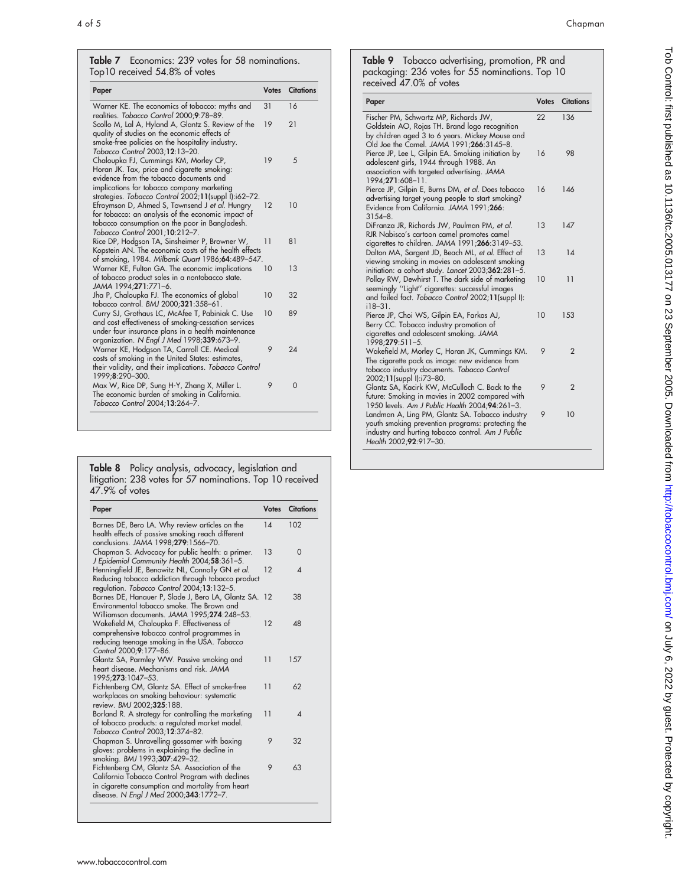#### Table 7 Economics: 239 votes for 58 nominations. Top10 received 54.8% of votes

| Paper                                                                                                                                                                                                                                 | <b>Votes</b> | <b>Citations</b> |
|---------------------------------------------------------------------------------------------------------------------------------------------------------------------------------------------------------------------------------------|--------------|------------------|
| Warner KE. The economics of tobacco: myths and<br>realities. Tobacco Control 2000;9:78-89.                                                                                                                                            | 31           | 16               |
| Scollo M, Lal A, Hyland A, Glantz S. Review of the<br>quality of studies on the economic effects of<br>smoke-free policies on the hospitality industry.<br>Tobacco Control 2003;12:13-20.                                             | 19           | 21               |
| Chaloupka FJ, Cummings KM, Morley CP,<br>Horan JK. Tax, price and cigarette smoking:<br>evidence from the tobacco documents and<br>implications for tobacco company marketing<br>strategies. Tobacco Control 2002;11(suppl I):i62-72. | 19           | 5                |
| Efroymson D, Ahmed S, Townsend J et al. Hungry<br>for tobacco: an analysis of the economic impact of<br>tobacco consumption on the poor in Bangladesh.<br>Tobacco Control 2001;10:212-7.                                              | 12           | 10               |
| Rice DP, Hodgson TA, Sinsheimer P, Browner W,<br>Kopstein AN. The economic costs of the health effects<br>of smoking, 1984. Milbank Quart 1986;64:489-547.                                                                            | 11           | 81               |
| Warner KE, Fulton GA. The economic implications<br>of tobacco product sales in a nontobacco state.<br>JAMA 1994;271:771-6.                                                                                                            | 10           | 13               |
| Jha P, Chaloupka FJ. The economics of global<br>tobacco control. BMJ 2000;321:358-61.                                                                                                                                                 | 10           | 32               |
| Curry SJ, Grothaus LC, McAfee T, Pabiniak C. Use<br>and cost effectiveness of smoking-cessation services<br>under four insurance plans in a health maintenance<br>organization. N Engl J Med 1998;339:673-9.                          | 10           | 89               |
| Warner KE, Hodgson TA, Carroll CE. Medical<br>costs of smoking in the United States: estimates,<br>their validity, and their implications. Tobacco Control<br>1999;8:290-300.                                                         | 9            | 24               |
| Max W, Rice DP, Sung H-Y, Zhang X, Miller L.<br>The economic burden of smoking in California.<br>Tobacco Control 2004;13:264-7.                                                                                                       | 9            | $\overline{0}$   |

**Table 8** Policy analysis, advocacy, legislation and litigation: 238 votes for 57 nominations. Top 10 received 47.9% of votes

| Paper                                                                                                                                                                                            | <b>Votes</b> | <b>Citations</b> |
|--------------------------------------------------------------------------------------------------------------------------------------------------------------------------------------------------|--------------|------------------|
| Barnes DE, Bero LA. Why review articles on the<br>health effects of passive smoking reach different<br>conclusions. JAMA 1998;279:1566-70.                                                       | 14           | 102              |
| Chapman S. Advocacy for public health: a primer.<br>J Epidemiol Community Health 2004;58:361-5.                                                                                                  | 13           | $\Omega$         |
| Henningfield JE, Benowitz NL, Connolly GN et al.<br>Reducing tobacco addiction through tobacco product<br>regulation. Tobacco Control 2004;13:132-5.                                             | 12           | ◢                |
| Barnes DE, Hanauer P, Slade J, Bero LA, Glantz SA. 12<br>Environmental tobacco smoke. The Brown and<br>Williamson documents. JAMA 1995;274:248-53.                                               |              | 38               |
| Wakefield M, Chaloupka F. Effectiveness of<br>comprehensive tobacco control programmes in<br>reducing teenage smoking in the USA. Tobacco<br>Control 2000;9:177-86.                              | 12           | 48               |
| Glantz SA, Parmley WW. Passive smoking and<br>heart disease. Mechanisms and risk. JAMA<br>1995;273:1047-53.                                                                                      | 11           | 157              |
| Fichtenberg CM, Glantz SA. Effect of smoke-free<br>workplaces on smoking behaviour: systematic<br>review. BMJ 2002:325:188.                                                                      | 11           | 62               |
| Borland R. A strategy for controlling the marketing<br>of tobacco products: a regulated market model.<br>Tobacco Control 2003;12:374-82.                                                         | 11           | $\Delta$         |
| Chapman S. Unravelling gossamer with boxing<br>gloves: problems in explaining the decline in<br>smoking. BMJ 1993;307:429-32.                                                                    | 9            | 32               |
| Fichtenberg CM, Glantz SA. Association of the<br>California Tobacco Control Program with declines<br>in cigarette consumption and mortality from heart<br>disease. N Engl J Med 2000;343:1772-7. | 9            | 63               |

Table 9 Tobacco advertising, promotion, PR and packaging: 236 votes for 55 nominations. Top 10 received 47.0% of votes

| Paper                                                                                                                                                                                  | <b>Votes</b> | <b>Citations</b> |
|----------------------------------------------------------------------------------------------------------------------------------------------------------------------------------------|--------------|------------------|
| Fischer PM, Schwartz MP, Richards JW,<br>Goldstein AO, Rojas TH. Brand logo recognition<br>by children aged 3 to 6 years. Mickey Mouse and<br>Old Joe the Camel. JAMA 1991;266:3145-8. | 22           | 136              |
| Pierce JP, Lee L, Gilpin EA. Smoking initiation by<br>adolescent girls, 1944 through 1988. An<br>association with targeted advertising. JAMA<br>1994;271:608-11.                       | 16           | 98               |
| Pierce JP, Gilpin E, Burns DM, et al. Does tobacco<br>advertising target young people to start smoking?<br>Evidence from California. JAMA 1991;266:<br>$3154 - 8$                      | 16           | 146              |
| DiFranza JR, Richards JW, Paulman PM, et al.<br>RJR Nabisco's cartoon camel promotes camel<br>cigarettes to children. JAMA 1991;266:3149-53.                                           | 13           | 147              |
| Dalton MA, Sargent JD, Beach ML, et al. Effect of<br>viewing smoking in movies on adolescent smoking<br>initiation: a cohort study. Lancet 2003;362:281-5.                             | 13           | 14               |
| Pollay RW, Dewhirst T. The dark side of marketing<br>seemingly "Light" cigarettes: successful images<br>and failed fact. Tobacco Control 2002;11(suppl I):<br>$18 - 31$ .              | 10           | 11               |
| Pierce JP, Choi WS, Gilpin EA, Farkas AJ,<br>Berry CC. Tobacco industry promotion of<br>cigarettes and adolescent smoking. JAMA<br>1998;279:511-5.                                     | 10           | 153              |
| Wakefield M, Morley C, Horan JK, Cummings KM.<br>The cigarette pack as image: new evidence from<br>tobacco industry documents. Tobacco Control<br>2002;11(suppl I):i73-80.             | 9            | $\overline{2}$   |
| Glantz SA, Kacirk KW, McCulloch C. Back to the<br>future: Smoking in movies in 2002 compared with<br>1950 levels. Am J Public Health 2004;94:261-3.                                    | 9            | $\mathfrak{p}$   |
| Landman A, Ling PM, Glantz SA. Tobacco industry<br>youth smoking prevention programs: protecting the<br>industry and hurting tobacco control. Am J Public<br>Health 2002;92:917-30.    | 9            | 10               |